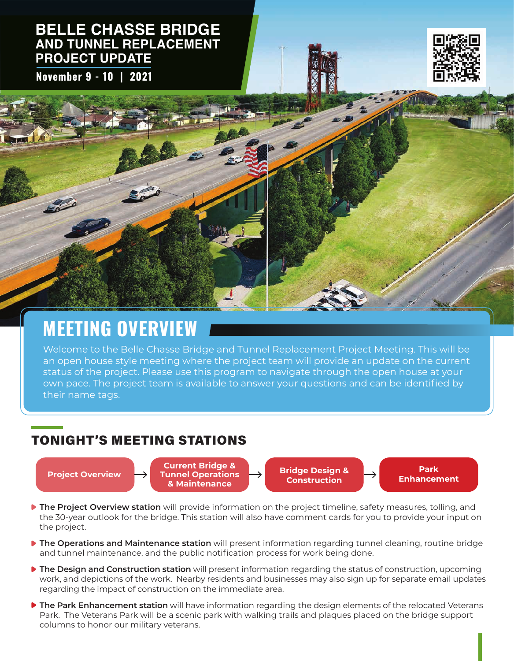### **BELLE CHASSE BRIDGE AND TUNNEL REPLACEMENT PROJECT UPDATE**

**November 9 - 10 | 2021**



## **MEETING OVERVIEW**

Welcome to the Belle Chasse Bridge and Tunnel Replacement Project Meeting. This will be an open house style meeting where the project team will provide an update on the current status of the project. Please use this program to navigate through the open house at your own pace. The project team is available to answer your questions and can be identified by their name tags.

## TONIGHT'S MEETING STATIONS

**Project Overview Bridge Overview Bridge Design & Current Bridge & Tunnel Operations & Maintenance**

**Construction**

**Park Enhancement**

- **The Project Overview station** will provide information on the project timeline, safety measures, tolling, and the 30-year outlook for the bridge. This station will also have comment cards for you to provide your input on the project.
- **The Operations and Maintenance station** will present information regarding tunnel cleaning, routine bridge and tunnel maintenance, and the public notification process for work being done.
- **The Design and Construction station** will present information regarding the status of construction, upcoming work, and depictions of the work. Nearby residents and businesses may also sign up for separate email updates regarding the impact of construction on the immediate area.
- **The Park Enhancement station** will have information regarding the design elements of the relocated Veterans Park. The Veterans Park will be a scenic park with walking trails and plaques placed on the bridge support columns to honor our military veterans.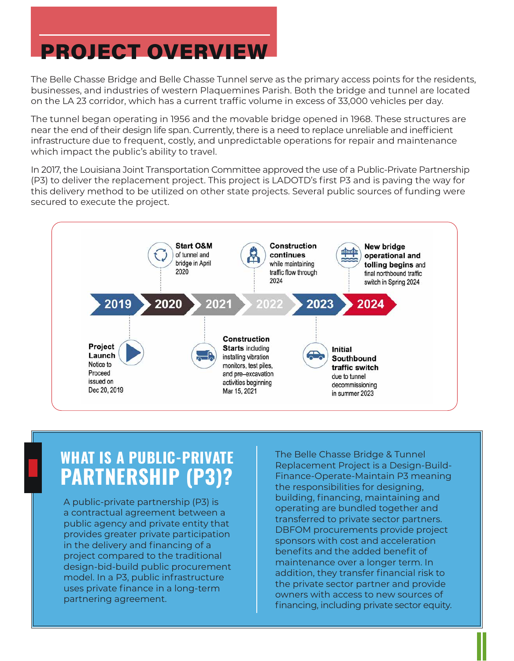# PROJECT OVERVIEW

The Belle Chasse Bridge and Belle Chasse Tunnel serve as the primary access points for the residents, businesses, and industries of western Plaquemines Parish. Both the bridge and tunnel are located on the LA 23 corridor, which has a current traffic volume in excess of 33,000 vehicles per day.

The tunnel began operating in 1956 and the movable bridge opened in 1968. These structures are near the end of their design life span. Currently, there is a need to replace unreliable and inefficient infrastructure due to frequent, costly, and unpredictable operations for repair and maintenance which impact the public's ability to travel.

In 2017, the Louisiana Joint Transportation Committee approved the use of a Public-Private Partnership (P3) to deliver the replacement project. This project is LADOTD's first P3 and is paving the way for this delivery method to be utilized on other state projects. Several public sources of funding were secured to execute the project.



## **WHAT IS A PUBLIC-PRIVATE PARTNERSHIP (P3)?**

A public-private partnership (P3) is a contractual agreement between a public agency and private entity that provides greater private participation in the delivery and financing of a project compared to the traditional design-bid-build public procurement model. In a P3, public infrastructure uses private finance in a long-term partnering agreement.

The Belle Chasse Bridge & Tunnel Replacement Project is a Design-Build-Finance-Operate-Maintain P3 meaning the responsibilities for designing, building, financing, maintaining and operating are bundled together and transferred to private sector partners. DBFOM procurements provide project sponsors with cost and acceleration benefits and the added benefit of maintenance over a longer term. In addition, they transfer financial risk to the private sector partner and provide owners with access to new sources of financing, including private sector equity.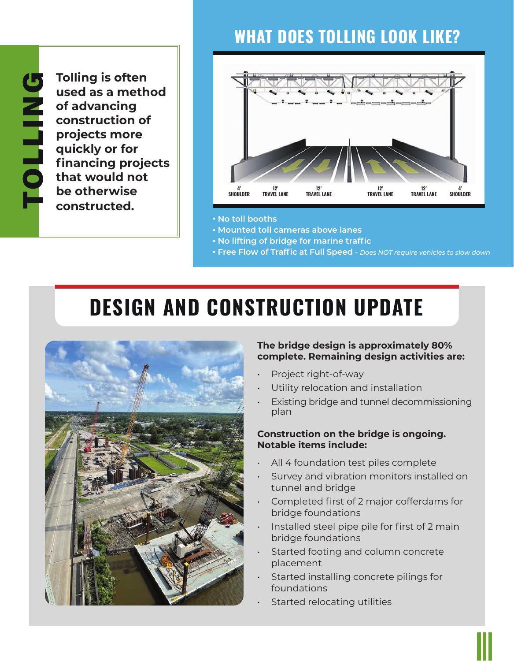# **WHAT DOES TOLLING LOOK LIKE?**

**Tolling is often used as a method of advancing construction of projects more quickly or for financing projects that would not be otherwise constructed.** 



- **No toll booths**
- **Mounted toll cameras above lanes**
- **No lifting of bridge for marine traffic**
- **Free Flow of Traffic at Full Speed**  *Does NOT require vehicles to slow down*

# **DESIGN AND CONSTRUCTION UPDATE**



#### **The bridge design is approximately 80% complete. Remaining design activities are:**

- Project right-of-way
- Utility relocation and installation
- Existing bridge and tunnel decommissioning plan

#### **Construction on the bridge is ongoing. Notable items include:**

- All 4 foundation test piles complete
- Survey and vibration monitors installed on tunnel and bridge
- Completed first of 2 major cofferdams for bridge foundations
- Installed steel pipe pile for first of 2 main bridge foundations
- Started footing and column concrete placement
- Started installing concrete pilings for foundations
- Started relocating utilities